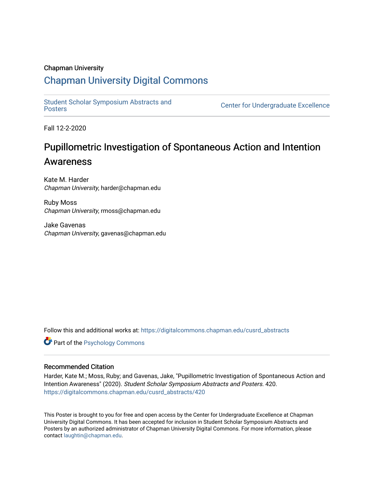#### Chapman University

#### [Chapman University Digital Commons](https://digitalcommons.chapman.edu/)

[Student Scholar Symposium Abstracts and](https://digitalcommons.chapman.edu/cusrd_abstracts) 

Center for Undergraduate Excellence

Fall 12-2-2020

#### Pupillometric Investigation of Spontaneous Action and Intention Awareness

Kate M. Harder Chapman University, harder@chapman.edu

Ruby Moss Chapman University, rmoss@chapman.edu

Jake Gavenas Chapman University, gavenas@chapman.edu

Follow this and additional works at: [https://digitalcommons.chapman.edu/cusrd\\_abstracts](https://digitalcommons.chapman.edu/cusrd_abstracts?utm_source=digitalcommons.chapman.edu%2Fcusrd_abstracts%2F420&utm_medium=PDF&utm_campaign=PDFCoverPages) 

**Part of the Psychology Commons** 

#### Recommended Citation

Harder, Kate M.; Moss, Ruby; and Gavenas, Jake, "Pupillometric Investigation of Spontaneous Action and Intention Awareness" (2020). Student Scholar Symposium Abstracts and Posters. 420. [https://digitalcommons.chapman.edu/cusrd\\_abstracts/420](https://digitalcommons.chapman.edu/cusrd_abstracts/420?utm_source=digitalcommons.chapman.edu%2Fcusrd_abstracts%2F420&utm_medium=PDF&utm_campaign=PDFCoverPages) 

This Poster is brought to you for free and open access by the Center for Undergraduate Excellence at Chapman University Digital Commons. It has been accepted for inclusion in Student Scholar Symposium Abstracts and Posters by an authorized administrator of Chapman University Digital Commons. For more information, please contact [laughtin@chapman.edu](mailto:laughtin@chapman.edu).